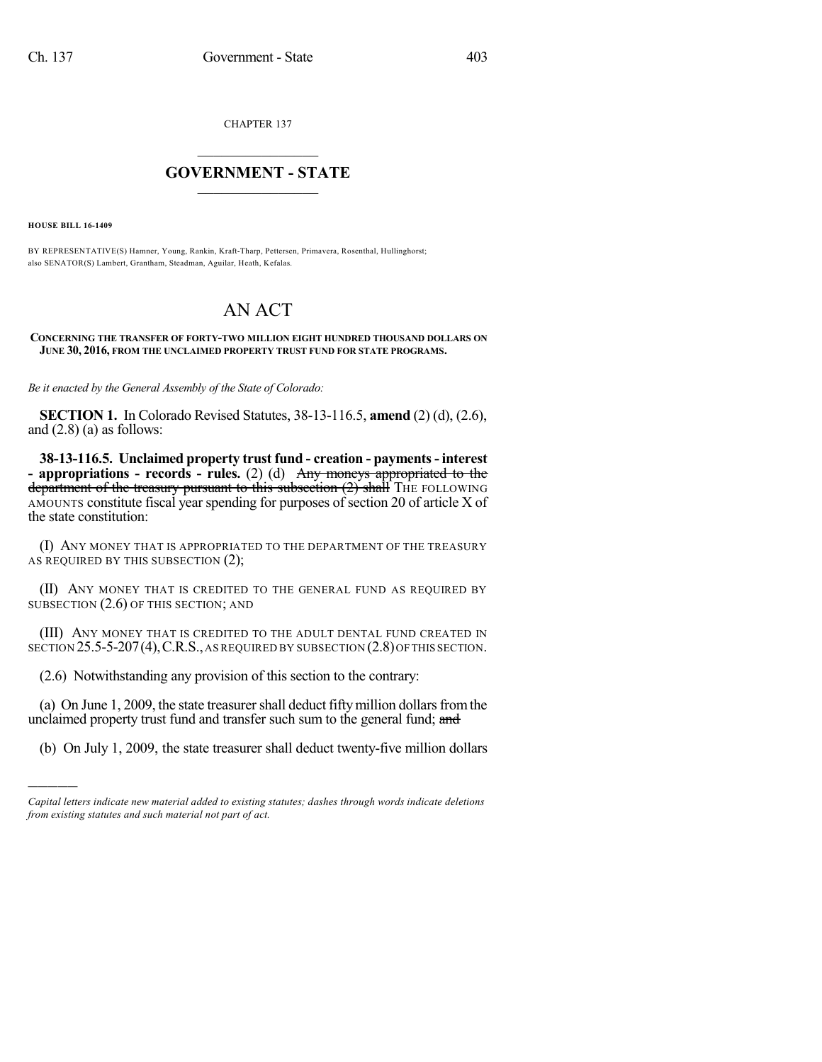CHAPTER 137

## $\mathcal{L}_\text{max}$  . The set of the set of the set of the set of the set of the set of the set of the set of the set of the set of the set of the set of the set of the set of the set of the set of the set of the set of the set **GOVERNMENT - STATE**  $\_$   $\_$

**HOUSE BILL 16-1409**

)))))

BY REPRESENTATIVE(S) Hamner, Young, Rankin, Kraft-Tharp, Pettersen, Primavera, Rosenthal, Hullinghorst; also SENATOR(S) Lambert, Grantham, Steadman, Aguilar, Heath, Kefalas.

## AN ACT

**CONCERNING THE TRANSFER OF FORTY-TWO MILLION EIGHT HUNDRED THOUSAND DOLLARS ON JUNE 30, 2016, FROM THE UNCLAIMED PROPERTY TRUST FUND FOR STATE PROGRAMS.**

*Be it enacted by the General Assembly of the State of Colorado:*

**SECTION 1.** In Colorado Revised Statutes, 38-13-116.5, **amend** (2) (d), (2.6), and  $(2.8)$  (a) as follows:

**38-13-116.5. Unclaimed property trust fund - creation - payments- interest - appropriations - records - rules.** (2) (d) Any moneys appropriated to the department of the treasury pursuant to this subsection  $(2)$  shall  $T$ HE FOLLOWING AMOUNTS constitute fiscal year spending for purposes of section 20 of article X of the state constitution:

(I) ANY MONEY THAT IS APPROPRIATED TO THE DEPARTMENT OF THE TREASURY AS REQUIRED BY THIS SUBSECTION (2);

(II) ANY MONEY THAT IS CREDITED TO THE GENERAL FUND AS REQUIRED BY SUBSECTION (2.6) OF THIS SECTION; AND

(III) ANY MONEY THAT IS CREDITED TO THE ADULT DENTAL FUND CREATED IN SECTION 25.5-5-207(4), C.R.S., AS REQUIRED BY SUBSECTION (2.8) OF THIS SECTION.

(2.6) Notwithstanding any provision of this section to the contrary:

(a) On June 1, 2009, the state treasurer shall deduct fifty million dollars from the unclaimed property trust fund and transfer such sum to the general fund; and

(b) On July 1, 2009, the state treasurer shall deduct twenty-five million dollars

*Capital letters indicate new material added to existing statutes; dashes through words indicate deletions from existing statutes and such material not part of act.*